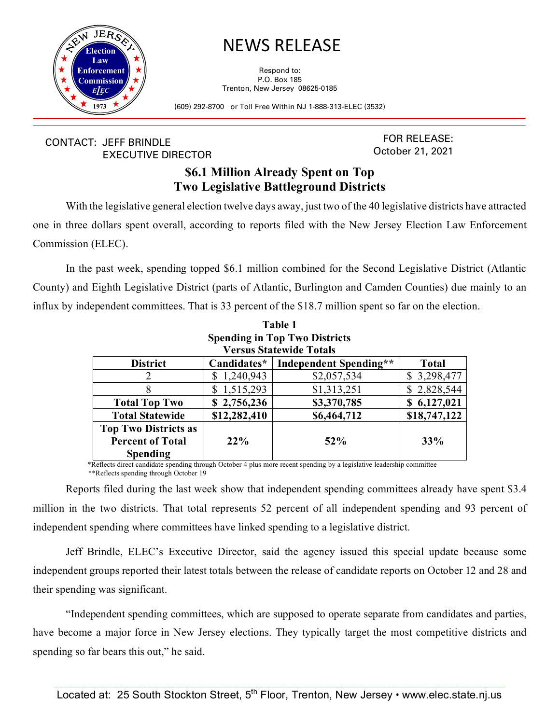

## NEWS RELEASE

Respond to: P.O. Box 185 Trenton, New Jersey 08625-0185

(609) 292-8700 or Toll Free Within NJ 1-888-313-ELEC (3532)

## CONTACT: JEFF BRINDLE EXECUTIVE DIRECTOR

FOR RELEASE: October 21, 2021

## **\$6.1 Million Already Spent on Top Two Legislative Battleground Districts**

With the legislative general election twelve days away, just two of the 40 legislative districts have attracted one in three dollars spent overall, according to reports filed with the New Jersey Election Law Enforcement Commission (ELEC).

In the past week, spending topped \$6.1 million combined for the Second Legislative District (Atlantic County) and Eighth Legislative District (parts of Atlantic, Burlington and Camden Counties) due mainly to an influx by independent committees. That is 33 percent of the \$18.7 million spent so far on the election.

| Table 1<br><b>Spending in Top Two Districts</b> |                 |                               |              |  |  |  |
|-------------------------------------------------|-----------------|-------------------------------|--------------|--|--|--|
|                                                 |                 |                               |              |  |  |  |
| <b>District</b>                                 | Candidates*     | <b>Independent Spending**</b> | <b>Total</b> |  |  |  |
|                                                 | 1,240,943<br>S  | \$2,057,534                   | \$3,298,477  |  |  |  |
| 8                                               | 1,515,293<br>\$ | \$1,313,251                   | \$2,828,544  |  |  |  |
| <b>Total Top Two</b>                            | 2,756,236<br>S  | \$3,370,785                   | \$6,127,021  |  |  |  |
| <b>Total Statewide</b>                          | \$12,282,410    | \$6,464,712                   | \$18,747,122 |  |  |  |
| <b>Top Two Districts as</b>                     |                 |                               |              |  |  |  |
| <b>Percent of Total</b>                         | $22\%$          | 52%                           | 33%          |  |  |  |
| Spending                                        |                 |                               |              |  |  |  |

\*Reflects direct candidate spending through October 4 plus more recent spending by <sup>a</sup> legislative leadership committee \*\*Reflects spending through October 19

Reports filed during the last week show that independent spending committees already have spent \$3.4 million in the two districts. That total represents 52 percent of all independent spending and 93 percent of independent spending where committees have linked spending to a legislative district.

Jeff Brindle, ELEC's Executive Director, said the agency issued this special update because some independent groups reported their latest totals between the release of candidate reports on October 12 and 28 and their spending was significant.

"Independent spending committees, which are supposed to operate separate from candidates and parties, have become a major force in New Jersey elections. They typically target the most competitive districts and spending so far bears this out," he said.